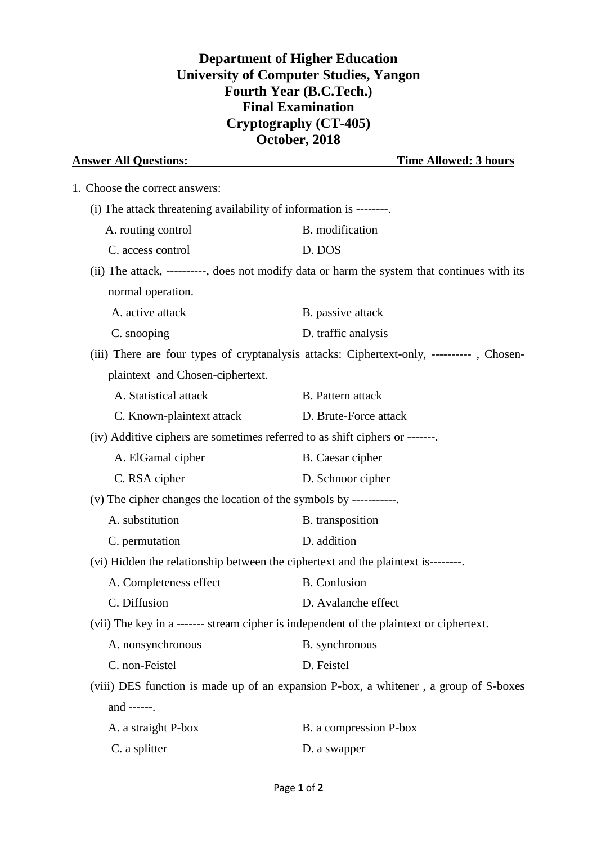## **Department of Higher Education University of Computer Studies, Yangon Fourth Year (B.C.Tech.) Final Examination Cryptography (CT-405) October, 2018**

| <b>Answer All Questions:</b>                                                | <b>Time Allowed: 3 hours</b>                                                                 |  |  |  |  |
|-----------------------------------------------------------------------------|----------------------------------------------------------------------------------------------|--|--|--|--|
| 1. Choose the correct answers:                                              |                                                                                              |  |  |  |  |
| (i) The attack threatening availability of information is --------          |                                                                                              |  |  |  |  |
| A. routing control                                                          | B. modification                                                                              |  |  |  |  |
| C. access control                                                           | D. DOS                                                                                       |  |  |  |  |
|                                                                             | (ii) The attack, ----------, does not modify data or harm the system that continues with its |  |  |  |  |
| normal operation.                                                           |                                                                                              |  |  |  |  |
| A. active attack                                                            | B. passive attack                                                                            |  |  |  |  |
| C. snooping                                                                 | D. traffic analysis                                                                          |  |  |  |  |
|                                                                             | (iii) There are four types of cryptanalysis attacks: Ciphertext-only, ----------, Chosen-    |  |  |  |  |
| plaintext and Chosen-ciphertext.                                            |                                                                                              |  |  |  |  |
| A. Statistical attack                                                       | <b>B.</b> Pattern attack                                                                     |  |  |  |  |
| C. Known-plaintext attack                                                   | D. Brute-Force attack                                                                        |  |  |  |  |
| (iv) Additive ciphers are sometimes referred to as shift ciphers or ------- |                                                                                              |  |  |  |  |
| A. ElGamal cipher                                                           | B. Caesar cipher                                                                             |  |  |  |  |
| C. RSA cipher                                                               | D. Schnoor cipher                                                                            |  |  |  |  |
| (v) The cipher changes the location of the symbols by -----------           |                                                                                              |  |  |  |  |
| A. substitution                                                             | B. transposition                                                                             |  |  |  |  |
| C. permutation                                                              | D. addition                                                                                  |  |  |  |  |
|                                                                             | (vi) Hidden the relationship between the ciphertext and the plaintext is--------             |  |  |  |  |
| A. Completeness effect                                                      | <b>B.</b> Confusion                                                                          |  |  |  |  |
| C. Diffusion                                                                | D. Avalanche effect                                                                          |  |  |  |  |
|                                                                             | (vii) The key in a ------- stream cipher is independent of the plaintext or ciphertext.      |  |  |  |  |
| A. nonsynchronous                                                           | B. synchronous                                                                               |  |  |  |  |
| C. non-Feistel                                                              | D. Feistel                                                                                   |  |  |  |  |
|                                                                             | (viii) DES function is made up of an expansion P-box, a whitener, a group of S-boxes         |  |  |  |  |
| and ------.                                                                 |                                                                                              |  |  |  |  |
| A. a straight P-box                                                         | B. a compression P-box                                                                       |  |  |  |  |
| C. a splitter                                                               | D. a swapper                                                                                 |  |  |  |  |